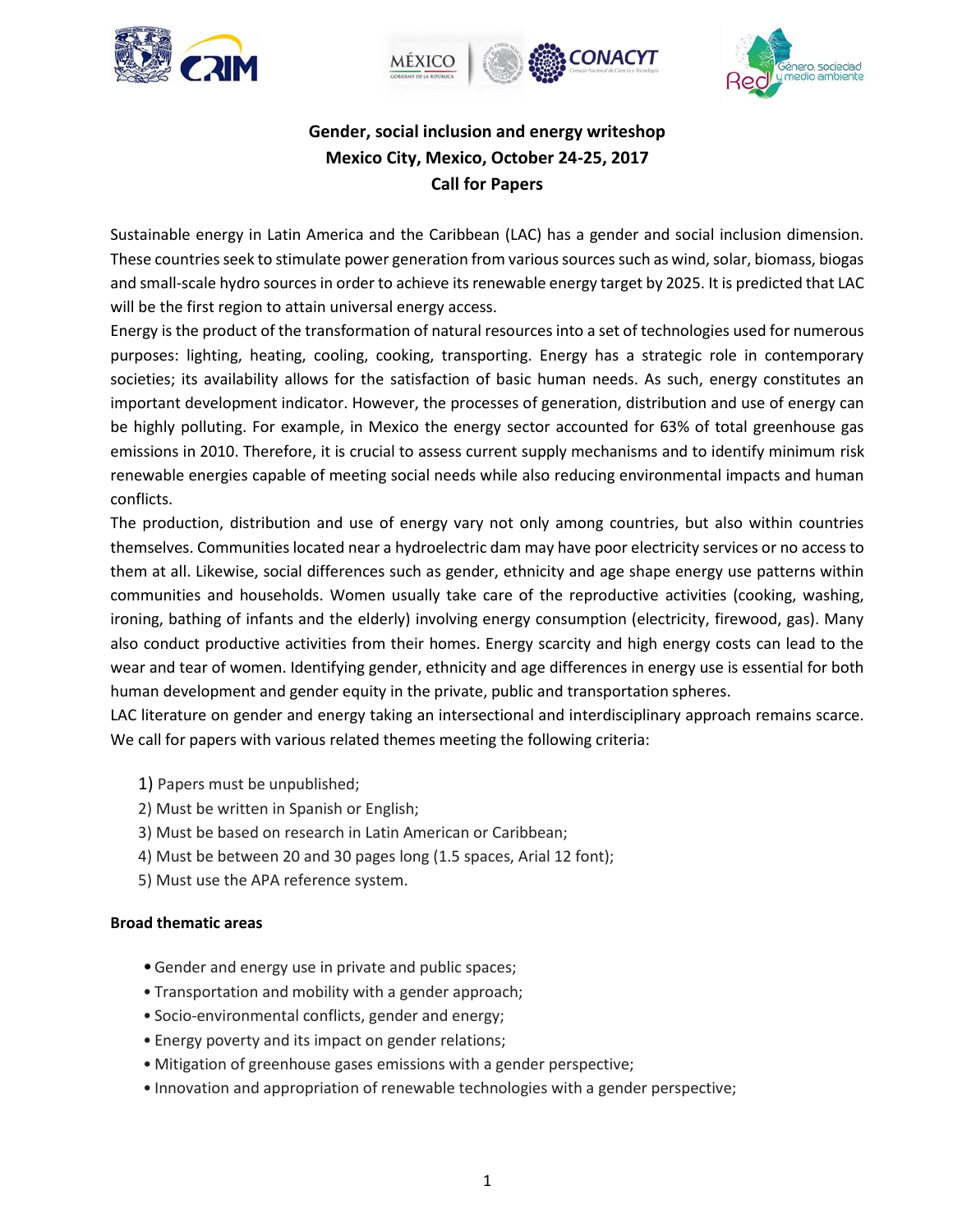





# **Gender, social inclusion and energy writeshop Mexico City, Mexico, October 24-25, 2017 Call for Papers**

Sustainable energy in Latin America and the Caribbean (LAC) has a gender and social inclusion dimension. These countries seek to stimulate power generation from various sources such as wind, solar, biomass, biogas and small-scale hydro sources in order to achieve its renewable energy target by 2025. It is predicted that LAC will be the first region to attain universal energy access.

Energy is the product of the transformation of natural resources into a set of technologies used for numerous purposes: lighting, heating, cooling, cooking, transporting. Energy has a strategic role in contemporary societies; its availability allows for the satisfaction of basic human needs. As such, energy constitutes an important development indicator. However, the processes of generation, distribution and use of energy can be highly polluting. For example, in Mexico the energy sector accounted for 63% of total greenhouse gas emissions in 2010. Therefore, it is crucial to assess current supply mechanisms and to identify minimum risk renewable energies capable of meeting social needs while also reducing environmental impacts and human conflicts.

The production, distribution and use of energy vary not only among countries, but also within countries themselves. Communities located near a hydroelectric dam may have poor electricity services or no access to them at all. Likewise, social differences such as gender, ethnicity and age shape energy use patterns within communities and households. Women usually take care of the reproductive activities (cooking, washing, ironing, bathing of infants and the elderly) involving energy consumption (electricity, firewood, gas). Many also conduct productive activities from their homes. Energy scarcity and high energy costs can lead to the wear and tear of women. Identifying gender, ethnicity and age differences in energy use is essential for both human development and gender equity in the private, public and transportation spheres.

LAC literature on gender and energy taking an intersectional and interdisciplinary approach remains scarce. We call for papers with various related themes meeting the following criteria:

- 1) Papers must be unpublished;
- 2) Must be written in Spanish or English;
- 3) Must be based on research in Latin American or Caribbean;
- 4) Must be between 20 and 30 pages long (1.5 spaces, Arial 12 font);
- 5) Must use the APA reference system.

# **Broad thematic areas**

- •Gender and energy use in private and public spaces;
- Transportation and mobility with a gender approach;
- Socio-environmental conflicts, gender and energy;
- Energy poverty and its impact on gender relations;
- Mitigation of greenhouse gases emissions with a gender perspective;
- Innovation and appropriation of renewable technologies with a gender perspective;